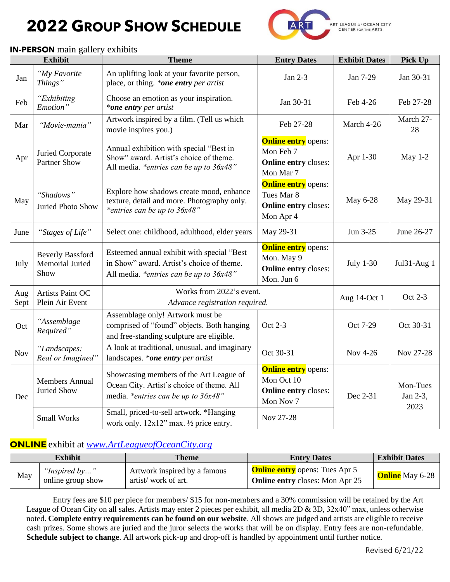## **2022 GROUP SHOW SCHEDULE**



| <b>IN-PERSON</b> main gallery exhibits |  |  |
|----------------------------------------|--|--|
|                                        |  |  |

|             | <b>Exhibit</b>                                     | <b>Theme</b>                                                                                                                       | <b>Entry Dates</b>                                                                    | <b>Exhibit Dates</b> | Pick Up                      |
|-------------|----------------------------------------------------|------------------------------------------------------------------------------------------------------------------------------------|---------------------------------------------------------------------------------------|----------------------|------------------------------|
| Jan         | "My Favorite<br>Things"                            | An uplifting look at your favorite person,<br>place, or thing. *one entry per artist                                               | Jan 2-3                                                                               | Jan 7-29             | Jan 30-31                    |
| Feb         | "Exhibiting<br>Emotion"                            | Choose an emotion as your inspiration.<br>*one entry per artist                                                                    | Jan 30-31                                                                             | Feb 4-26             | Feb 27-28                    |
| Mar         | "Movie-mania"                                      | Artwork inspired by a film. (Tell us which<br>movie inspires you.)                                                                 | Feb 27-28                                                                             | March 4-26           | March 27-<br>28              |
| Apr         | Juried Corporate<br><b>Partner Show</b>            | Annual exhibition with special "Best in<br>Show" award. Artist's choice of theme.<br>All media. *entries can be up to 36x48"       | <b>Online entry</b> opens:<br>Mon Feb 7<br><b>Online entry closes:</b><br>Mon Mar 7   | Apr 1-30             | May $1-2$                    |
| May         | "Shadows"<br>Juried Photo Show                     | Explore how shadows create mood, enhance<br>texture, detail and more. Photography only.<br>*entries can be up to 36x48"            | <b>Online entry</b> opens:<br>Tues Mar 8<br><b>Online entry closes:</b><br>Mon Apr 4  | May 6-28             | May 29-31                    |
| June        | "Stages of Life"                                   | Select one: childhood, adulthood, elder years                                                                                      | May 29-31                                                                             | Jun 3-25             | June 26-27                   |
| July        | <b>Beverly Bassford</b><br>Memorial Juried<br>Show | Esteemed annual exhibit with special "Best<br>in Show" award. Artist's choice of theme.<br>All media. *entries can be up to 36x48" | <b>Online entry</b> opens:<br>Mon. May 9<br><b>Online entry closes:</b><br>Mon. Jun 6 | <b>July 1-30</b>     | Jul $31$ -Aug 1              |
| Aug<br>Sept | <b>Artists Paint OC</b><br>Plein Air Event         | Works from 2022's event.<br>Advance registration required.                                                                         |                                                                                       | Aug 14-Oct 1         | Oct 2-3                      |
| Oct         | "Assemblage<br>Required"                           | Assemblage only! Artwork must be<br>comprised of "found" objects. Both hanging<br>and free-standing sculpture are eligible.        | Oct 2-3                                                                               | Oct 7-29             | Oct 30-31                    |
| <b>Nov</b>  | "Landscapes:<br>Real or Imagined'                  | A look at traditional, unusual, and imaginary<br>landscapes. *one entry per artist                                                 | Oct 30-31                                                                             | Nov 4-26             | Nov 27-28                    |
| Dec         | <b>Members Annual</b><br>Juried Show               | Showcasing members of the Art League of<br>Ocean City. Artist's choice of theme. All<br>media. *entries can be up to 36x48"        | <b>Online entry</b> opens:<br>Mon Oct 10<br><b>Online entry closes:</b><br>Mon Nov 7  | Dec 2-31             | Mon-Tues<br>Jan 2-3,<br>2023 |
|             | <b>Small Works</b>                                 | Small, priced-to-sell artwork. *Hanging<br>work only. $12x12$ " max. $\frac{1}{2}$ price entry.                                    | Nov 27-28                                                                             |                      |                              |

## **ONLINE** exhibit at *[www.ArtLeagueofOceanCity.org](http://www.artleagueofoceancity.org/)*

|     | <b>Exhibit</b>                     | <b>Theme</b>                                        | <b>Entry Dates</b>                                                              | <b>Exhibit Dates</b>   |
|-----|------------------------------------|-----------------------------------------------------|---------------------------------------------------------------------------------|------------------------|
| May | "Inspired by"<br>online group show | Artwork inspired by a famous<br>artist/work of art. | <b>Online entry</b> opens: Tues Apr 5<br><b>Online entry closes: Mon Apr 25</b> | <b>Online</b> May 6-28 |

Entry fees are \$10 per piece for members/ \$15 for non-members and a 30% commission will be retained by the Art League of Ocean City on all sales. Artists may enter 2 pieces per exhibit, all media 2D & 3D, 32x40" max, unless otherwise noted. **Complete entry requirements can be found on our website**. All shows are judged and artists are eligible to receive cash prizes. Some shows are juried and the juror selects the works that will be on display. Entry fees are non-refundable. **Schedule subject to change**. All artwork pick-up and drop-off is handled by appointment until further notice.